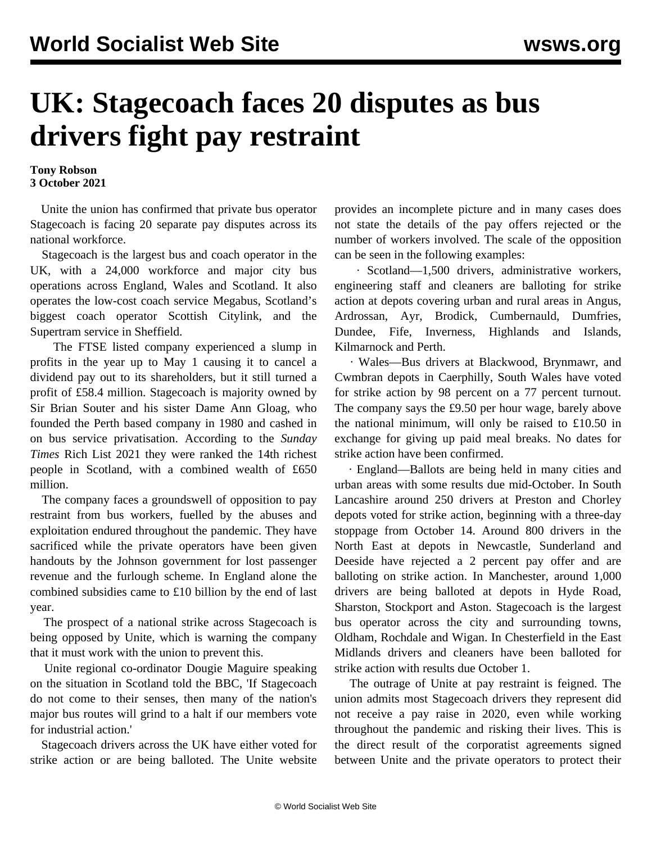## **UK: Stagecoach faces 20 disputes as bus drivers fight pay restraint**

## **Tony Robson 3 October 2021**

 Unite the union has confirmed that private bus operator Stagecoach is facing 20 separate pay disputes across its national workforce.

 Stagecoach is the largest bus and coach operator in the UK, with a 24,000 workforce and major city bus operations across England, Wales and Scotland. It also operates the low-cost coach service Megabus, Scotland's biggest coach operator Scottish Citylink, and the Supertram service in Sheffield.

 The FTSE listed company experienced a slump in profits in the year up to May 1 causing it to cancel a dividend pay out to its shareholders, but it still turned a profit of £58.4 million. Stagecoach is majority owned by Sir Brian Souter and his sister Dame Ann Gloag, who founded the Perth based company in 1980 and cashed in on bus service privatisation. According to the *Sunday Times* Rich List 2021 they were ranked the 14th richest people in Scotland, with a combined wealth of £650 million.

 The company faces a groundswell of opposition to pay restraint from bus workers, fuelled by the abuses and exploitation endured throughout the pandemic. They have sacrificed while the private operators have been given handouts by the Johnson government for lost passenger revenue and the furlough scheme. In England alone the combined subsidies came to £10 billion by the end of last year.

 The prospect of a national strike across Stagecoach is being opposed by Unite, which is warning the company that it must work with the union to prevent this.

 Unite regional co-ordinator Dougie Maguire speaking on the situation in Scotland told the BBC, 'If Stagecoach do not come to their senses, then many of the nation's major bus routes will grind to a halt if our members vote for industrial action.'

 Stagecoach drivers across the UK have either voted for strike action or are being balloted. The Unite website provides an incomplete picture and in many cases does not state the details of the pay offers rejected or the number of workers involved. The scale of the opposition can be seen in the following examples:

 · Scotland—1,500 drivers, administrative workers, engineering staff and cleaners are balloting for strike action at depots covering urban and rural areas in Angus, Ardrossan, Ayr, Brodick, Cumbernauld, Dumfries, Dundee, Fife, Inverness, Highlands and Islands, Kilmarnock and Perth.

 · Wales—Bus drivers at Blackwood, Brynmawr, and Cwmbran depots in Caerphilly, South Wales have voted for strike action by 98 percent on a 77 percent turnout. The company says the £9.50 per hour wage, barely above the national minimum, will only be raised to £10.50 in exchange for giving up paid meal breaks. No dates for strike action have been confirmed.

 · England—Ballots are being held in many cities and urban areas with some results due mid-October. In South Lancashire around 250 drivers at Preston and Chorley depots voted for strike action, beginning with a three-day stoppage from October 14. Around 800 drivers in the North East at depots in Newcastle, Sunderland and Deeside have rejected a 2 percent pay offer and are balloting on strike action. In Manchester, around 1,000 drivers are being balloted at depots in Hyde Road, Sharston, Stockport and Aston. Stagecoach is the largest bus operator across the city and surrounding towns, Oldham, Rochdale and Wigan. In Chesterfield in the East Midlands drivers and cleaners have been balloted for strike action with results due October 1.

 The outrage of Unite at pay restraint is feigned. The union admits most Stagecoach drivers they represent did not receive a pay raise in 2020, even while working throughout the pandemic and risking their lives. This is the direct result of the corporatist agreements signed between Unite and the private operators to protect their